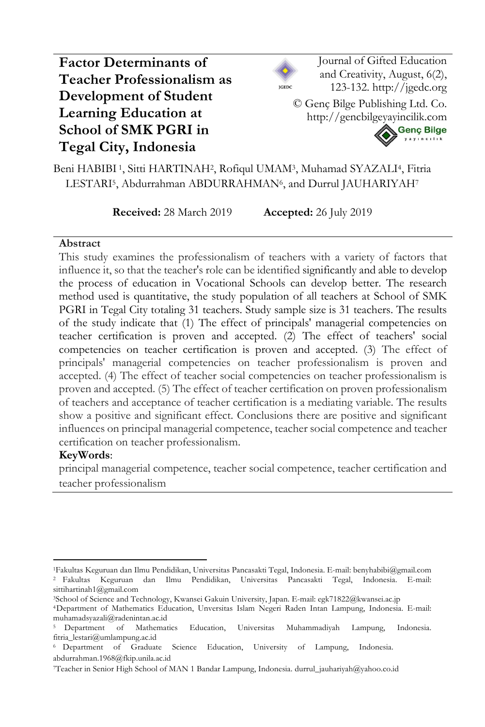# **Factor Determinants of Teacher Professionalism as Development of Student Learning Education at School of SMK PGRI in Tegal City, Indonesia**



Journal of Gifted Education and Creativity, August, 6(2), 123-132. http://jgedc.org

© Genç Bilge Publishing Ltd. Co. http://gencbilgeyayincilik.com



Beni HABIBI 1, Sitti HARTINAH2, Rofiqul UMAM3, Muhamad SYAZALI4, Fitria LESTARI<sup>5</sup>, Abdurrahman ABDURRAHMAN<sup>6</sup>, and Durrul JAUHARIYAH<sup>7</sup>

**Received:** 28 March 2019 **Accepted:** 26 July 2019

### **Abstract**

This study examines the professionalism of teachers with a variety of factors that influence it, so that the teacher's role can be identified significantly and able to develop the process of education in Vocational Schools can develop better. The research method used is quantitative, the study population of all teachers at School of SMK PGRI in Tegal City totaling 31 teachers. Study sample size is 31 teachers. The results of the study indicate that (1) The effect of principals' managerial competencies on teacher certification is proven and accepted. (2) The effect of teachers' social competencies on teacher certification is proven and accepted. (3) The effect of principals' managerial competencies on teacher professionalism is proven and accepted. (4) The effect of teacher social competencies on teacher professionalism is proven and accepted. (5) The effect of teacher certification on proven professionalism of teachers and acceptance of teacher certification is a mediating variable. The results show a positive and significant effect. Conclusions there are positive and significant influences on principal managerial competence, teacher social competence and teacher certification on teacher professionalism.

## **KeyWords**:

principal managerial competence, teacher social competence, teacher certification and teacher professionalism

<sup>1</sup>Fakultas Keguruan dan Ilmu Pendidikan, Universitas Pancasakti Tegal, Indonesia. E-mail: benyhabibi@gmail.com <sup>2</sup> Fakultas Keguruan dan Ilmu Pendidikan, Universitas Pancasakti Tegal, Indonesia. E-mail: sittihartinah1@gmail.com

<sup>3</sup>School of Science and Technology, Kwansei Gakuin University, Japan. E-mail: egk71822@kwansei.ac.jp

<sup>4</sup>Department of Mathematics Education, Unversitas Islam Negeri Raden Intan Lampung, Indonesia. E-mail: muhamadsyazali@radenintan.ac.id

<sup>5</sup> Department of Mathematics Education, Universitas Muhammadiyah Lampung, Indonesia. fitria\_lestari@umlampung.ac.id

<sup>6</sup> Department of Graduate Science Education, University of Lampung, Indonesia. abdurrahman.1968@fkip.unila.ac.id

<sup>7</sup>Teacher in Senior High School of MAN 1 Bandar Lampung, Indonesia. durrul\_jauhariyah@yahoo.co.id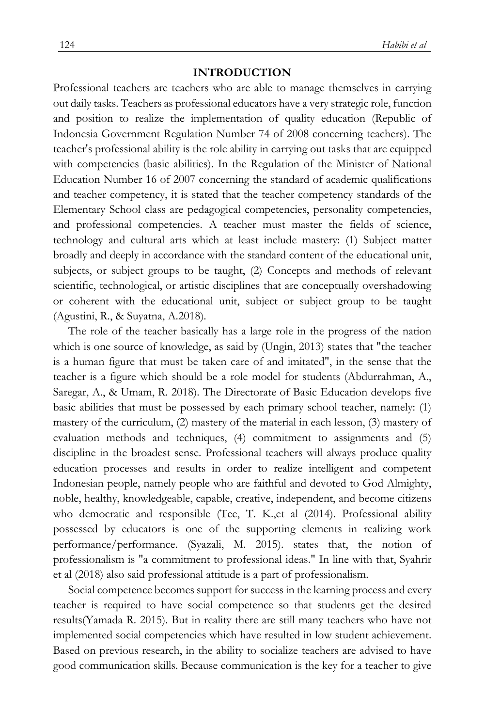### **INTRODUCTION**

Professional teachers are teachers who are able to manage themselves in carrying out daily tasks. Teachers as professional educators have a very strategic role, function and position to realize the implementation of quality education (Republic of Indonesia Government Regulation Number 74 of 2008 concerning teachers). The teacher's professional ability is the role ability in carrying out tasks that are equipped with competencies (basic abilities). In the Regulation of the Minister of National Education Number 16 of 2007 concerning the standard of academic qualifications and teacher competency, it is stated that the teacher competency standards of the Elementary School class are pedagogical competencies, personality competencies, and professional competencies. A teacher must master the fields of science, technology and cultural arts which at least include mastery: (1) Subject matter broadly and deeply in accordance with the standard content of the educational unit, subjects, or subject groups to be taught, (2) Concepts and methods of relevant scientific, technological, or artistic disciplines that are conceptually overshadowing or coherent with the educational unit, subject or subject group to be taught (Agustini, R., & Suyatna, A.2018).

The role of the teacher basically has a large role in the progress of the nation which is one source of knowledge, as said by (Ungin, 2013) states that "the teacher is a human figure that must be taken care of and imitated", in the sense that the teacher is a figure which should be a role model for students (Abdurrahman, A., Saregar, A., & Umam, R. 2018). The Directorate of Basic Education develops five basic abilities that must be possessed by each primary school teacher, namely: (1) mastery of the curriculum, (2) mastery of the material in each lesson, (3) mastery of evaluation methods and techniques, (4) commitment to assignments and (5) discipline in the broadest sense. Professional teachers will always produce quality education processes and results in order to realize intelligent and competent Indonesian people, namely people who are faithful and devoted to God Almighty, noble, healthy, knowledgeable, capable, creative, independent, and become citizens who democratic and responsible (Tee, T. K.,et al (2014). Professional ability possessed by educators is one of the supporting elements in realizing work performance/performance. (Syazali, M. 2015). states that, the notion of professionalism is "a commitment to professional ideas." In line with that, Syahrir et al (2018) also said professional attitude is a part of professionalism.

Social competence becomes support for success in the learning process and every teacher is required to have social competence so that students get the desired results(Yamada R. 2015). But in reality there are still many teachers who have not implemented social competencies which have resulted in low student achievement. Based on previous research, in the ability to socialize teachers are advised to have good communication skills. Because communication is the key for a teacher to give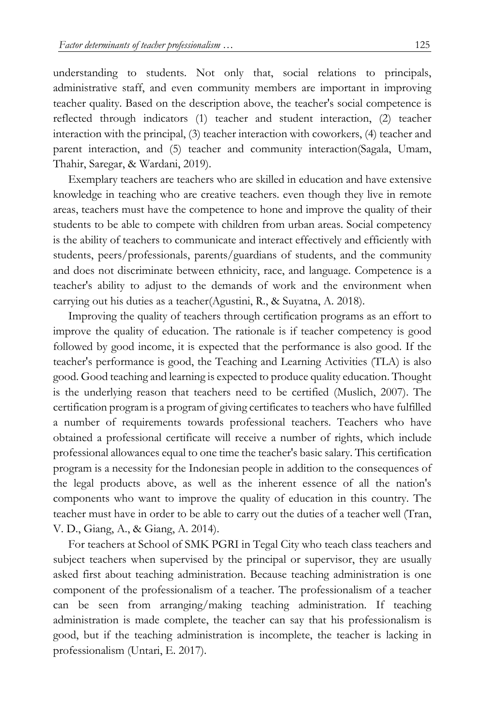understanding to students. Not only that, social relations to principals, administrative staff, and even community members are important in improving teacher quality. Based on the description above, the teacher's social competence is reflected through indicators (1) teacher and student interaction, (2) teacher interaction with the principal, (3) teacher interaction with coworkers, (4) teacher and parent interaction, and (5) teacher and community interaction(Sagala, Umam, Thahir, Saregar, & Wardani, 2019).

Exemplary teachers are teachers who are skilled in education and have extensive knowledge in teaching who are creative teachers. even though they live in remote areas, teachers must have the competence to hone and improve the quality of their students to be able to compete with children from urban areas. Social competency is the ability of teachers to communicate and interact effectively and efficiently with students, peers/professionals, parents/guardians of students, and the community and does not discriminate between ethnicity, race, and language. Competence is a teacher's ability to adjust to the demands of work and the environment when carrying out his duties as a teacher(Agustini, R., & Suyatna, A. 2018).

Improving the quality of teachers through certification programs as an effort to improve the quality of education. The rationale is if teacher competency is good followed by good income, it is expected that the performance is also good. If the teacher's performance is good, the Teaching and Learning Activities (TLA) is also good. Good teaching and learning is expected to produce quality education. Thought is the underlying reason that teachers need to be certified (Muslich, 2007). The certification program is a program of giving certificates to teachers who have fulfilled a number of requirements towards professional teachers. Teachers who have obtained a professional certificate will receive a number of rights, which include professional allowances equal to one time the teacher's basic salary. This certification program is a necessity for the Indonesian people in addition to the consequences of the legal products above, as well as the inherent essence of all the nation's components who want to improve the quality of education in this country. The teacher must have in order to be able to carry out the duties of a teacher well (Tran, V. D., Giang, A., & Giang, A. 2014).

For teachers at School of SMK PGRI in Tegal City who teach class teachers and subject teachers when supervised by the principal or supervisor, they are usually asked first about teaching administration. Because teaching administration is one component of the professionalism of a teacher. The professionalism of a teacher can be seen from arranging/making teaching administration. If teaching administration is made complete, the teacher can say that his professionalism is good, but if the teaching administration is incomplete, the teacher is lacking in professionalism (Untari, E. 2017).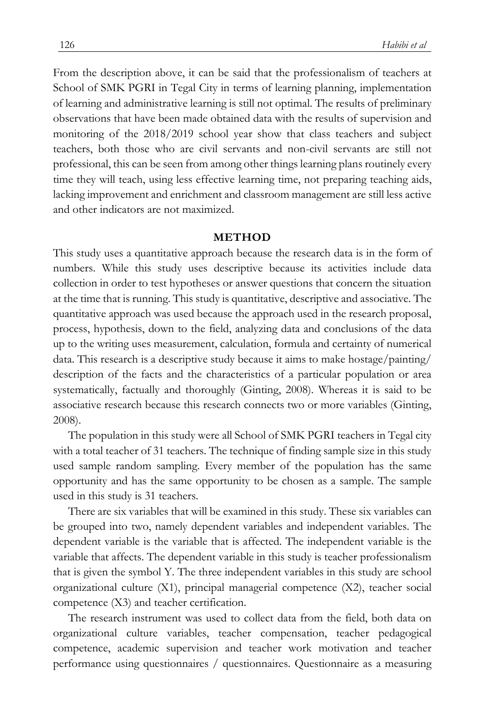From the description above, it can be said that the professionalism of teachers at School of SMK PGRI in Tegal City in terms of learning planning, implementation of learning and administrative learning is still not optimal. The results of preliminary observations that have been made obtained data with the results of supervision and monitoring of the 2018/2019 school year show that class teachers and subject teachers, both those who are civil servants and non-civil servants are still not professional, this can be seen from among other things learning plans routinely every time they will teach, using less effective learning time, not preparing teaching aids, lacking improvement and enrichment and classroom management are still less active and other indicators are not maximized.

#### **METHOD**

This study uses a quantitative approach because the research data is in the form of numbers. While this study uses descriptive because its activities include data collection in order to test hypotheses or answer questions that concern the situation at the time that is running. This study is quantitative, descriptive and associative. The quantitative approach was used because the approach used in the research proposal, process, hypothesis, down to the field, analyzing data and conclusions of the data up to the writing uses measurement, calculation, formula and certainty of numerical data. This research is a descriptive study because it aims to make hostage/painting/ description of the facts and the characteristics of a particular population or area systematically, factually and thoroughly (Ginting, 2008). Whereas it is said to be associative research because this research connects two or more variables (Ginting, 2008).

The population in this study were all School of SMK PGRI teachers in Tegal city with a total teacher of 31 teachers. The technique of finding sample size in this study used sample random sampling. Every member of the population has the same opportunity and has the same opportunity to be chosen as a sample. The sample used in this study is 31 teachers.

There are six variables that will be examined in this study. These six variables can be grouped into two, namely dependent variables and independent variables. The dependent variable is the variable that is affected. The independent variable is the variable that affects. The dependent variable in this study is teacher professionalism that is given the symbol Y. The three independent variables in this study are school organizational culture (X1), principal managerial competence (X2), teacher social competence (X3) and teacher certification.

The research instrument was used to collect data from the field, both data on organizational culture variables, teacher compensation, teacher pedagogical competence, academic supervision and teacher work motivation and teacher performance using questionnaires / questionnaires. Questionnaire as a measuring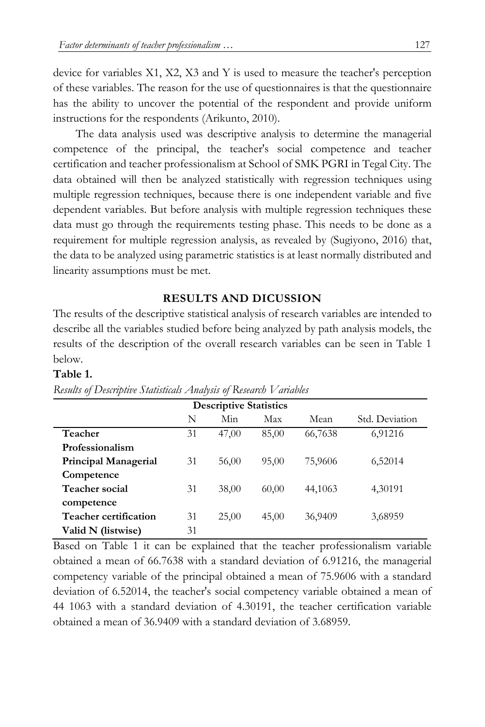device for variables X1, X2, X3 and Y is used to measure the teacher's perception of these variables. The reason for the use of questionnaires is that the questionnaire has the ability to uncover the potential of the respondent and provide uniform instructions for the respondents (Arikunto, 2010).

The data analysis used was descriptive analysis to determine the managerial competence of the principal, the teacher's social competence and teacher certification and teacher professionalism at School of SMK PGRI in Tegal City. The data obtained will then be analyzed statistically with regression techniques using multiple regression techniques, because there is one independent variable and five dependent variables. But before analysis with multiple regression techniques these data must go through the requirements testing phase. This needs to be done as a requirement for multiple regression analysis, as revealed by (Sugiyono, 2016) that, the data to be analyzed using parametric statistics is at least normally distributed and linearity assumptions must be met.

### **RESULTS AND DICUSSION**

The results of the descriptive statistical analysis of research variables are intended to describe all the variables studied before being analyzed by path analysis models, the results of the description of the overall research variables can be seen in Table 1 below.

### **Table 1.**

|                       |    | <b>Descriptive Statistics</b> |       |         |                |
|-----------------------|----|-------------------------------|-------|---------|----------------|
|                       | N  | Min                           | Max   | Mean    | Std. Deviation |
| Teacher               | 31 | 47,00                         | 85,00 | 66,7638 | 6,91216        |
| Professionalism       |    |                               |       |         |                |
| Principal Managerial  | 31 | 56,00                         | 95,00 | 75,9606 | 6,52014        |
| Competence            |    |                               |       |         |                |
| <b>Teacher social</b> | 31 | 38,00                         | 60,00 | 44,1063 | 4,30191        |
| competence            |    |                               |       |         |                |
| Teacher certification | 31 | 25,00                         | 45,00 | 36,9409 | 3,68959        |
| Valid N (listwise)    | 31 |                               |       |         |                |

*Results of Descriptive Statisticals Analysis of Research Variables*

Based on Table 1 it can be explained that the teacher professionalism variable obtained a mean of 66.7638 with a standard deviation of 6.91216, the managerial competency variable of the principal obtained a mean of 75.9606 with a standard deviation of 6.52014, the teacher's social competency variable obtained a mean of 44 1063 with a standard deviation of 4.30191, the teacher certification variable obtained a mean of 36.9409 with a standard deviation of 3.68959.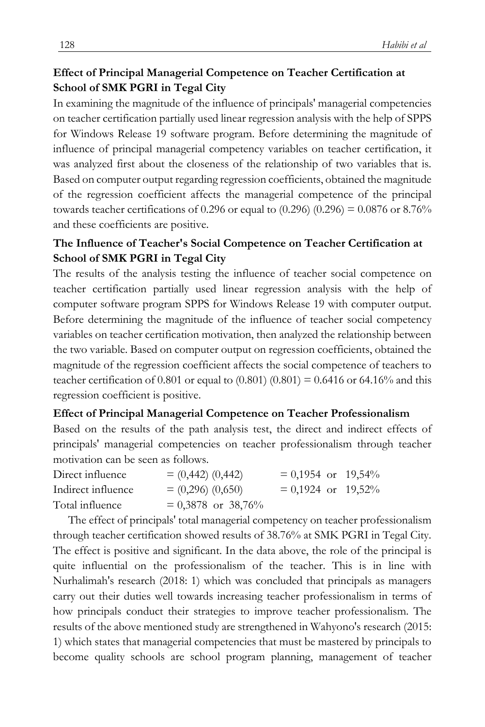### **Effect of Principal Managerial Competence on Teacher Certification at School of SMK PGRI in Tegal City**

In examining the magnitude of the influence of principals' managerial competencies on teacher certification partially used linear regression analysis with the help of SPPS for Windows Release 19 software program. Before determining the magnitude of influence of principal managerial competency variables on teacher certification, it was analyzed first about the closeness of the relationship of two variables that is. Based on computer output regarding regression coefficients, obtained the magnitude of the regression coefficient affects the managerial competence of the principal towards teacher certifications of 0.296 or equal to  $(0.296)$   $(0.296) = 0.0876$  or 8.76% and these coefficients are positive.

### **The Influence of Teacher's Social Competence on Teacher Certification at School of SMK PGRI in Tegal City**

The results of the analysis testing the influence of teacher social competence on teacher certification partially used linear regression analysis with the help of computer software program SPPS for Windows Release 19 with computer output. Before determining the magnitude of the influence of teacher social competency variables on teacher certification motivation, then analyzed the relationship between the two variable. Based on computer output on regression coefficients, obtained the magnitude of the regression coefficient affects the social competence of teachers to teacher certification of 0.801 or equal to  $(0.801) (0.801) = 0.6416$  or 64.16% and this regression coefficient is positive.

### **Effect of Principal Managerial Competence on Teacher Professionalism**

Based on the results of the path analysis test, the direct and indirect effects of principals' managerial competencies on teacher professionalism through teacher motivation can be seen as follows.

| Direct influence   | $= (0,442) (0,442)$  | $= 0,1954$ or 19,54% |  |
|--------------------|----------------------|----------------------|--|
| Indirect influence | $= (0,296) (0,650)$  | $= 0,1924$ or 19,52% |  |
| Total influence    | $= 0.3878$ or 38,76% |                      |  |

The effect of principals' total managerial competency on teacher professionalism through teacher certification showed results of 38.76% at SMK PGRI in Tegal City. The effect is positive and significant. In the data above, the role of the principal is quite influential on the professionalism of the teacher. This is in line with Nurhalimah's research (2018: 1) which was concluded that principals as managers carry out their duties well towards increasing teacher professionalism in terms of how principals conduct their strategies to improve teacher professionalism. The results of the above mentioned study are strengthened in Wahyono's research (2015: 1) which states that managerial competencies that must be mastered by principals to become quality schools are school program planning, management of teacher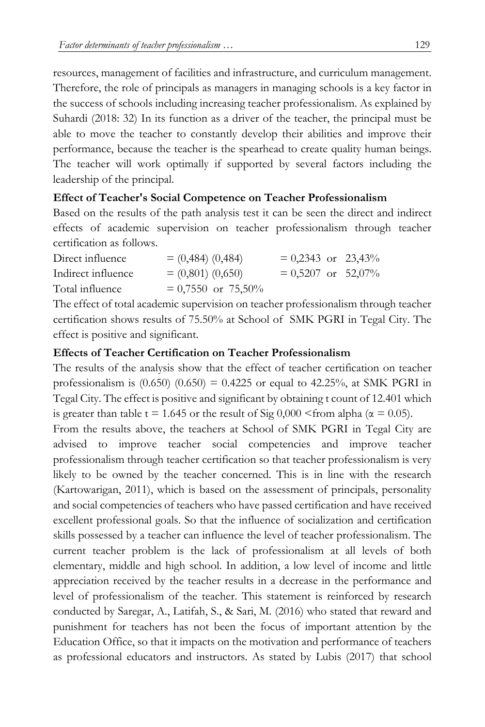resources, management of facilities and infrastructure, and curriculum management. Therefore, the role of principals as managers in managing schools is a key factor in the success of schools including increasing teacher professionalism. As explained by Suhardi (2018: 32) In its function as a driver of the teacher, the principal must be able to move the teacher to constantly develop their abilities and improve their performance, because the teacher is the spearhead to create quality human beings. The teacher will work optimally if supported by several factors including the leadership of the principal.

### **Effect of Teacher's Social Competence on Teacher Professionalism**

Based on the results of the path analysis test it can be seen the direct and indirect effects of academic supervision on teacher professionalism through teacher certification as follows.

| Direct influence   | $= (0,484) (0,484)$  | $= 0,2343$ or 23,43% |  |
|--------------------|----------------------|----------------------|--|
| Indirect influence | $= (0,801) (0,650)$  | $= 0.5207$ or 52,07% |  |
| Total influence    | $= 0.7550$ or 75,50% |                      |  |

The effect of total academic supervision on teacher professionalism through teacher certification shows results of 75.50% at School of SMK PGRI in Tegal City. The effect is positive and significant.

### **Effects of Teacher Certification on Teacher Professionalism**

The results of the analysis show that the effect of teacher certification on teacher professionalism is  $(0.650)$   $(0.650) = 0.4225$  or equal to 42.25%, at SMK PGRI in Tegal City. The effect is positive and significant by obtaining t count of 12.401 which is greater than table t = 1.645 or the result of Sig  $0,000 \le$  from alpha ( $\alpha$  = 0.05).

From the results above, the teachers at School of SMK PGRI in Tegal City are advised to improve teacher social competencies and improve teacher professionalism through teacher certification so that teacher professionalism is very likely to be owned by the teacher concerned. This is in line with the research (Kartowarigan, 2011), which is based on the assessment of principals, personality and social competencies of teachers who have passed certification and have received excellent professional goals. So that the influence of socialization and certification skills possessed by a teacher can influence the level of teacher professionalism. The current teacher problem is the lack of professionalism at all levels of both elementary, middle and high school. In addition, a low level of income and little appreciation received by the teacher results in a decrease in the performance and level of professionalism of the teacher. This statement is reinforced by research conducted by Saregar, A., Latifah, S., & Sari, M. (2016) who stated that reward and punishment for teachers has not been the focus of important attention by the Education Office, so that it impacts on the motivation and performance of teachers as professional educators and instructors. As stated by Lubis (2017) that school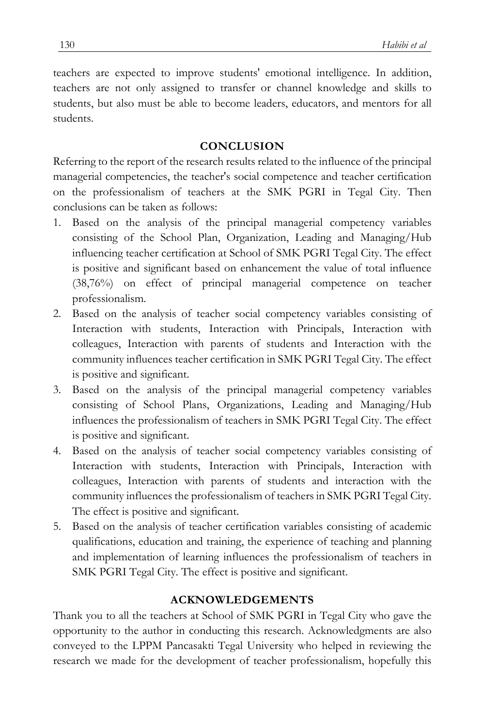teachers are expected to improve students' emotional intelligence. In addition, teachers are not only assigned to transfer or channel knowledge and skills to students, but also must be able to become leaders, educators, and mentors for all students.

#### **CONCLUSION**

Referring to the report of the research results related to the influence of the principal managerial competencies, the teacher's social competence and teacher certification on the professionalism of teachers at the SMK PGRI in Tegal City. Then conclusions can be taken as follows:

- 1. Based on the analysis of the principal managerial competency variables consisting of the School Plan, Organization, Leading and Managing/Hub influencing teacher certification at School of SMK PGRI Tegal City. The effect is positive and significant based on enhancement the value of total influence (38,76%) on effect of principal managerial competence on teacher professionalism.
- 2. Based on the analysis of teacher social competency variables consisting of Interaction with students, Interaction with Principals, Interaction with colleagues, Interaction with parents of students and Interaction with the community influences teacher certification in SMK PGRI Tegal City. The effect is positive and significant.
- 3. Based on the analysis of the principal managerial competency variables consisting of School Plans, Organizations, Leading and Managing/Hub influences the professionalism of teachers in SMK PGRI Tegal City. The effect is positive and significant.
- 4. Based on the analysis of teacher social competency variables consisting of Interaction with students, Interaction with Principals, Interaction with colleagues, Interaction with parents of students and interaction with the community influences the professionalism of teachers in SMK PGRI Tegal City. The effect is positive and significant.
- 5. Based on the analysis of teacher certification variables consisting of academic qualifications, education and training, the experience of teaching and planning and implementation of learning influences the professionalism of teachers in SMK PGRI Tegal City. The effect is positive and significant.

#### **ACKNOWLEDGEMENTS**

Thank you to all the teachers at School of SMK PGRI in Tegal City who gave the opportunity to the author in conducting this research. Acknowledgments are also conveyed to the LPPM Pancasakti Tegal University who helped in reviewing the research we made for the development of teacher professionalism, hopefully this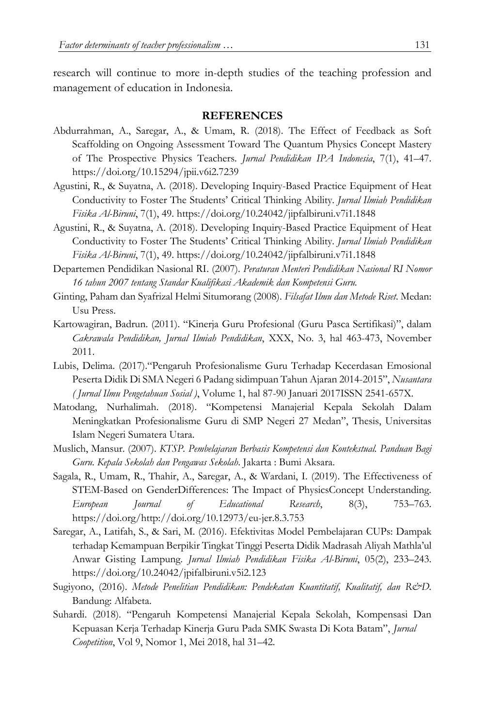research will continue to more in-depth studies of the teaching profession and management of education in Indonesia.

#### **REFERENCES**

- Abdurrahman, A., Saregar, A., & Umam, R. (2018). The Effect of Feedback as Soft Scaffolding on Ongoing Assessment Toward The Quantum Physics Concept Mastery of The Prospective Physics Teachers. *Jurnal Pendidikan IPA Indonesia*, 7(1), 41–47. https://doi.org/10.15294/jpii.v6i2.7239
- Agustini, R., & Suyatna, A. (2018). Developing Inquiry-Based Practice Equipment of Heat Conductivity to Foster The Students' Critical Thinking Ability. *Jurnal Ilmiah Pendidikan Fisika Al-Biruni*, 7(1), 49. https://doi.org/10.24042/jipfalbiruni.v7i1.1848
- Agustini, R., & Suyatna, A. (2018). Developing Inquiry-Based Practice Equipment of Heat Conductivity to Foster The Students' Critical Thinking Ability. *Jurnal Ilmiah Pendidikan Fisika Al-Biruni*, 7(1), 49. https://doi.org/10.24042/jipfalbiruni.v7i1.1848
- Departemen Pendidikan Nasional RI. (2007). *Peraturan Menteri Pendidikan Nasional RI Nomor 16 tahun 2007 tentang Standar Kualifikasi Akademik dan Kompetensi Guru.*
- Ginting, Paham dan Syafrizal Helmi Situmorang (2008). *Filsafat Ilmu dan Metode Riset*. Medan: Usu Press.
- Kartowagiran, Badrun. (2011). "Kinerja Guru Profesional (Guru Pasca Sertifikasi)", dalam *Cakrawala Pendidikan, Jurnal Ilmiah Pendidikan*, XXX, No. 3, hal 463-473, November 2011.
- Lubis, Delima. (2017)."Pengaruh Profesionalisme Guru Terhadap Kecerdasan Emosional Peserta Didik Di SMA Negeri 6 Padang sidimpuan Tahun Ajaran 2014-2015", *Nusantara ( Jurnal Ilmu Pengetahuan Sosial )*, Volume 1, hal 87-90 Januari 2017ISSN 2541-657X.
- Matodang, Nurhalimah. (2018). "Kompetensi Manajerial Kepala Sekolah Dalam Meningkatkan Profesionalisme Guru di SMP Negeri 27 Medan", Thesis, Universitas Islam Negeri Sumatera Utara.
- Muslich, Mansur. (2007). *KTSP. Pembelajaran Berbasis Kompetensi dan Kontekstual. Panduan Bagi Guru. Kepala Sekolah dan Pengawas Sekolah*. Jakarta : Bumi Aksara.
- Sagala, R., Umam, R., Thahir, A., Saregar, A., & Wardani, I. (2019). The Effectiveness of STEM-Based on GenderDifferences: The Impact of PhysicsConcept Understanding. *European Journal of Educational Research*, 8(3), 753–763. https://doi.org/http://doi.org/10.12973/eu-jer.8.3.753
- Saregar, A., Latifah, S., & Sari, M. (2016). Efektivitas Model Pembelajaran CUPs: Dampak terhadap Kemampuan Berpikir Tingkat Tinggi Peserta Didik Madrasah Aliyah Mathla'ul Anwar Gisting Lampung. *Jurnal Ilmiah Pendidikan Fisika Al-Biruni*, 05(2), 233–243. https://doi.org/10.24042/jpifalbiruni.v5i2.123
- Sugiyono, (2016). *Metode Penelitian Pendidikan: Pendekatan Kuantitatif, Kualitatif, dan R&D.* Bandung: Alfabeta.
- Suhardi. (2018). "Pengaruh Kompetensi Manajerial Kepala Sekolah, Kompensasi Dan Kepuasan Kerja Terhadap Kinerja Guru Pada SMK Swasta Di Kota Batam", *Jurnal Coopetition*, Vol 9, Nomor 1, Mei 2018, hal 31–42.